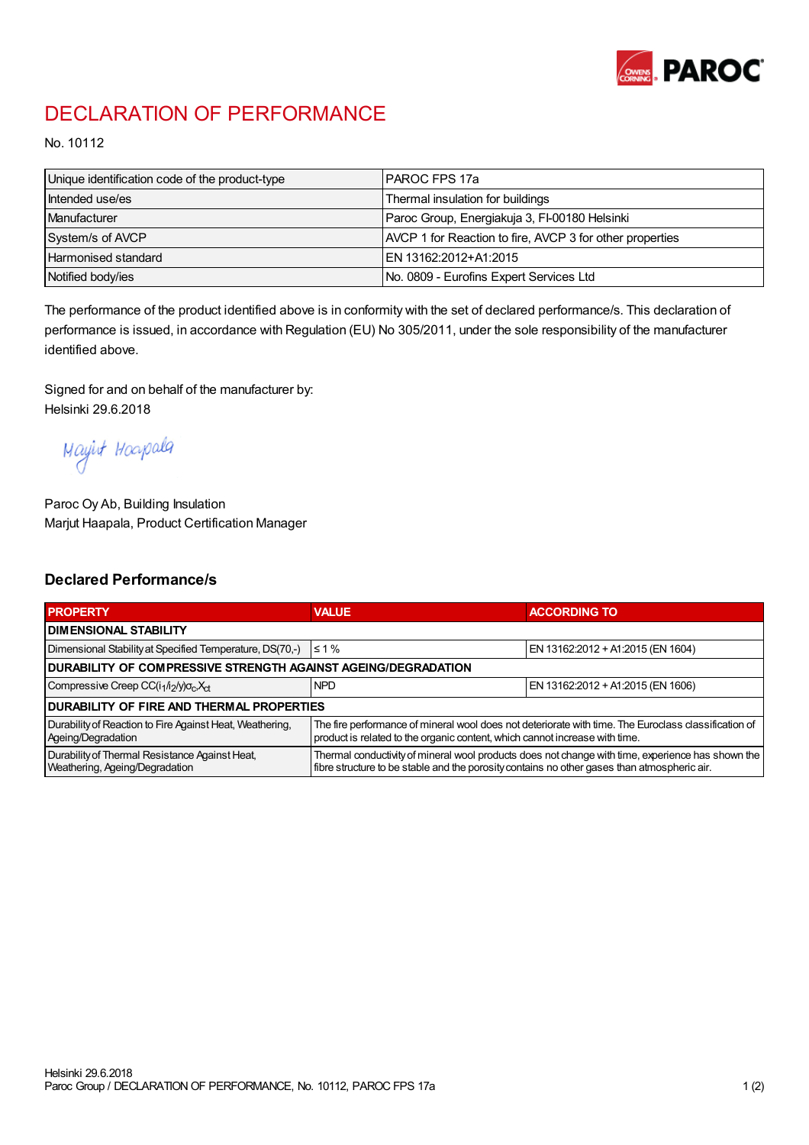

## DECLARATION OF PERFORMANCE

No. 10112

| Unique identification code of the product-type | IPAROC FPS 17a                                           |
|------------------------------------------------|----------------------------------------------------------|
| Intended use/es                                | Thermal insulation for buildings                         |
| Manufacturer                                   | Paroc Group, Energiakuja 3, FI-00180 Helsinki            |
| System/s of AVCP                               | AVCP 1 for Reaction to fire, AVCP 3 for other properties |
| <b>Harmonised standard</b>                     | EN 13162:2012+A1:2015                                    |
| Notified body/ies                              | No. 0809 - Eurofins Expert Services Ltd                  |

The performance of the product identified above is in conformity with the set of declared performance/s. This declaration of performance is issued, in accordance with Regulation (EU) No 305/2011, under the sole responsibility of the manufacturer identified above.

Signed for and on behalf of the manufacturer by: Helsinki 29.6.2018

Mayirt Hoapala

Paroc Oy Ab, Building Insulation Marjut Haapala, Product Certification Manager

## Declared Performance/s

| <b>PROPERTY</b>                                                                  | <b>VALUE</b>                                                                                                                                                                                     | <b>ACCORDING TO</b>               |  |  |
|----------------------------------------------------------------------------------|--------------------------------------------------------------------------------------------------------------------------------------------------------------------------------------------------|-----------------------------------|--|--|
| <b>I DIMENSIONAL STABILITY</b>                                                   |                                                                                                                                                                                                  |                                   |  |  |
| Dimensional Stability at Specified Temperature, DS(70,-)                         | $\leq 1\%$                                                                                                                                                                                       | EN 13162:2012 + A1:2015 (EN 1604) |  |  |
| DURABILITY OF COMPRESSIVE STRENGTH AGAINST AGEING/DEGRADATION                    |                                                                                                                                                                                                  |                                   |  |  |
| Compressive Creep CC(i <sub>1</sub> /i <sub>2</sub> /y) $\sigma_c X_{ct}$        | <b>NPD</b>                                                                                                                                                                                       | EN 13162:2012 + A1:2015 (EN 1606) |  |  |
| <b>DURABILITY OF FIRE AND THERMAL PROPERTIES</b>                                 |                                                                                                                                                                                                  |                                   |  |  |
| Durability of Reaction to Fire Against Heat, Weathering,<br>Ageing/Degradation   | The fire performance of mineral wool does not deteriorate with time. The Euroclass classification of<br>product is related to the organic content, which cannot increase with time.              |                                   |  |  |
| Durability of Thermal Resistance Against Heat,<br>Weathering, Ageing/Degradation | Thermal conductivity of mineral wool products does not change with time, experience has shown the<br>fibre structure to be stable and the porosity contains no other gases than atmospheric air. |                                   |  |  |